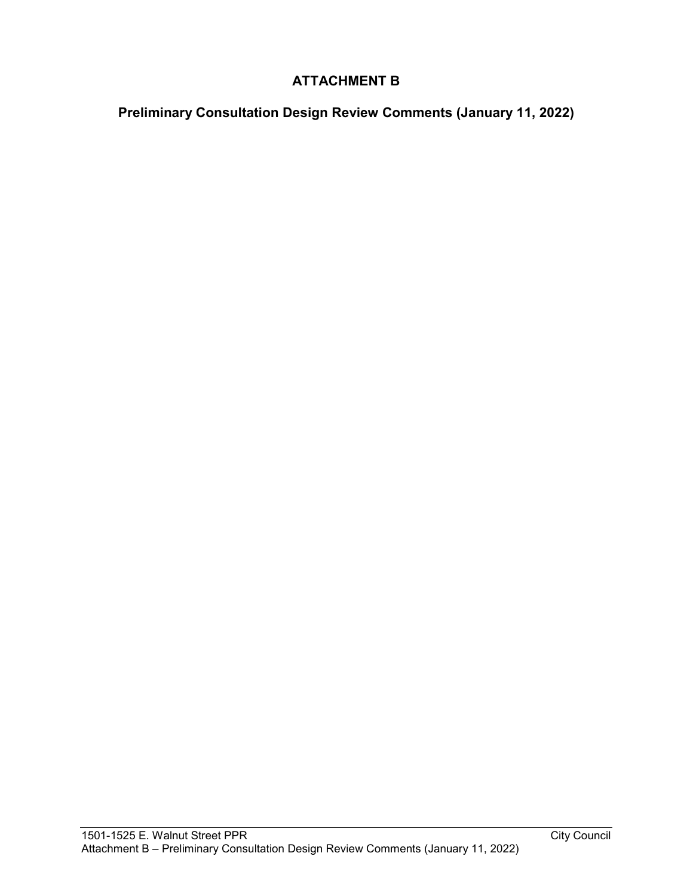## **ATTACHMENT B**

**Preliminary Consultation Design Review Comments (January 11, 2022)**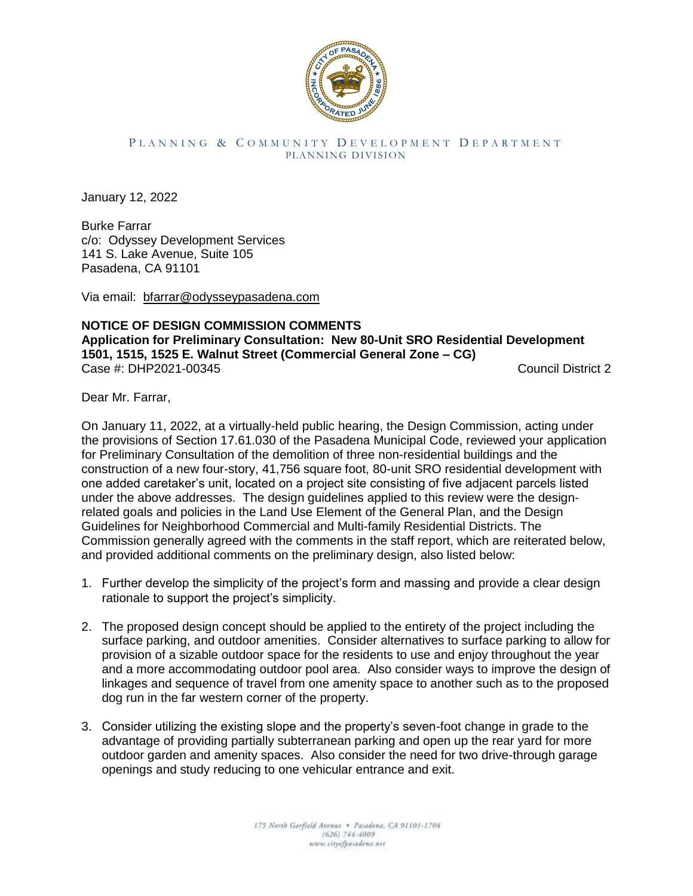

## PLANNING & COMMUNITY DEVELOPMENT DEPARTMENT PLANNING DIVISION

January 12, 2022

Burke Farrar c/o: Odyssey Development Services 141 S. Lake Avenue, Suite 105 Pasadena, CA 91101

Via email: [bfarrar@odysseypasadena.com](mailto:bfarrar@odysseypasadena.com)

## **NOTICE OF DESIGN COMMISSION COMMENTS Application for Preliminary Consultation: New 80-Unit SRO Residential Development 1501, 1515, 1525 E. Walnut Street (Commercial General Zone – CG)**  Case #: DHP2021-00345 Council District 2

Dear Mr. Farrar,

On January 11, 2022, at a virtually-held public hearing, the Design Commission, acting under the provisions of Section 17.61.030 of the Pasadena Municipal Code, reviewed your application for Preliminary Consultation of the demolition of three non-residential buildings and the construction of a new four-story, 41,756 square foot, 80-unit SRO residential development with one added caretaker's unit, located on a project site consisting of five adjacent parcels listed under the above addresses. The design guidelines applied to this review were the designrelated goals and policies in the Land Use Element of the General Plan, and the Design Guidelines for Neighborhood Commercial and Multi-family Residential Districts. The Commission generally agreed with the comments in the staff report, which are reiterated below, and provided additional comments on the preliminary design, also listed below:

- 1. Further develop the simplicity of the project's form and massing and provide a clear design rationale to support the project's simplicity.
- 2. The proposed design concept should be applied to the entirety of the project including the surface parking, and outdoor amenities. Consider alternatives to surface parking to allow for provision of a sizable outdoor space for the residents to use and enjoy throughout the year and a more accommodating outdoor pool area. Also consider ways to improve the design of linkages and sequence of travel from one amenity space to another such as to the proposed dog run in the far western corner of the property.
- 3. Consider utilizing the existing slope and the property's seven-foot change in grade to the advantage of providing partially subterranean parking and open up the rear yard for more outdoor garden and amenity spaces. Also consider the need for two drive-through garage openings and study reducing to one vehicular entrance and exit.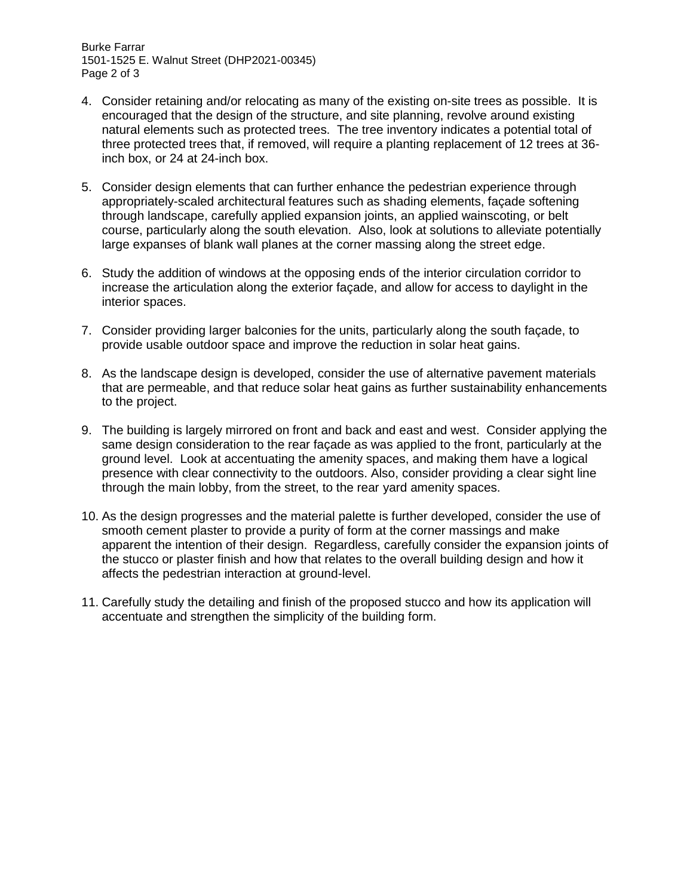Burke Farrar 1501-1525 E. Walnut Street (DHP2021-00345) Page 2 of 3

- 4. Consider retaining and/or relocating as many of the existing on-site trees as possible. It is encouraged that the design of the structure, and site planning, revolve around existing natural elements such as protected trees. The tree inventory indicates a potential total of three protected trees that, if removed, will require a planting replacement of 12 trees at 36 inch box, or 24 at 24-inch box.
- 5. Consider design elements that can further enhance the pedestrian experience through appropriately-scaled architectural features such as shading elements, façade softening through landscape, carefully applied expansion joints, an applied wainscoting, or belt course, particularly along the south elevation. Also, look at solutions to alleviate potentially large expanses of blank wall planes at the corner massing along the street edge.
- 6. Study the addition of windows at the opposing ends of the interior circulation corridor to increase the articulation along the exterior façade, and allow for access to daylight in the interior spaces.
- 7. Consider providing larger balconies for the units, particularly along the south façade, to provide usable outdoor space and improve the reduction in solar heat gains.
- 8. As the landscape design is developed, consider the use of alternative pavement materials that are permeable, and that reduce solar heat gains as further sustainability enhancements to the project.
- 9. The building is largely mirrored on front and back and east and west. Consider applying the same design consideration to the rear façade as was applied to the front, particularly at the ground level. Look at accentuating the amenity spaces, and making them have a logical presence with clear connectivity to the outdoors. Also, consider providing a clear sight line through the main lobby, from the street, to the rear yard amenity spaces.
- 10. As the design progresses and the material palette is further developed, consider the use of smooth cement plaster to provide a purity of form at the corner massings and make apparent the intention of their design. Regardless, carefully consider the expansion joints of the stucco or plaster finish and how that relates to the overall building design and how it affects the pedestrian interaction at ground-level.
- 11. Carefully study the detailing and finish of the proposed stucco and how its application will accentuate and strengthen the simplicity of the building form.